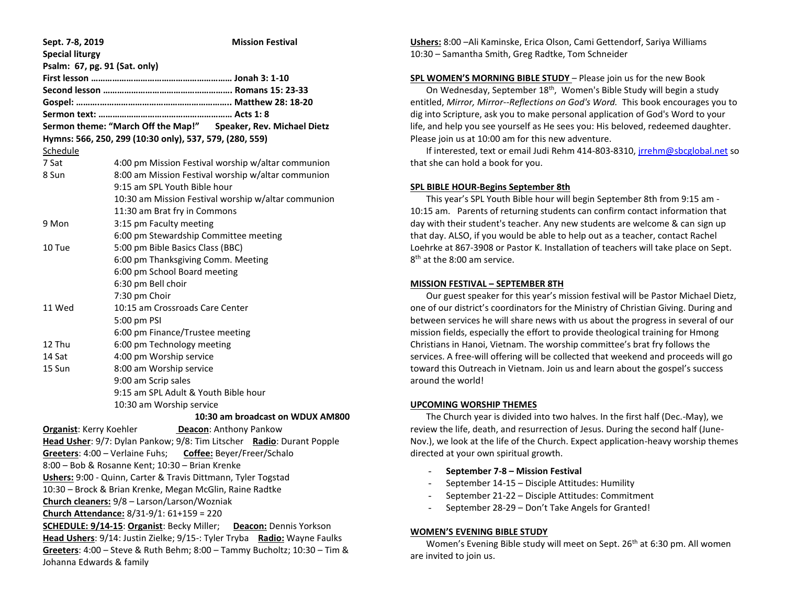| Sept. 7-8, 2019                                                             | <b>Mission Festival</b>                                               |
|-----------------------------------------------------------------------------|-----------------------------------------------------------------------|
| <b>Special liturgy</b>                                                      |                                                                       |
| Psalm: 67, pg. 91 (Sat. only)                                               |                                                                       |
|                                                                             |                                                                       |
|                                                                             |                                                                       |
|                                                                             |                                                                       |
|                                                                             |                                                                       |
|                                                                             | Sermon theme: "March Off the Map!" Speaker, Rev. Michael Dietz        |
|                                                                             | Hymns: 566, 250, 299 (10:30 only), 537, 579, (280, 559)               |
| Schedule                                                                    |                                                                       |
| 7 Sat                                                                       | 4:00 pm Mission Festival worship w/altar communion                    |
| 8 Sun                                                                       | 8:00 am Mission Festival worship w/altar communion                    |
|                                                                             | 9:15 am SPL Youth Bible hour                                          |
|                                                                             | 10:30 am Mission Festival worship w/altar communion                   |
|                                                                             | 11:30 am Brat fry in Commons                                          |
| 9 Mon                                                                       | 3:15 pm Faculty meeting                                               |
|                                                                             | 6:00 pm Stewardship Committee meeting                                 |
| 10 Tue                                                                      | 5:00 pm Bible Basics Class (BBC)                                      |
|                                                                             | 6:00 pm Thanksgiving Comm. Meeting                                    |
|                                                                             | 6:00 pm School Board meeting                                          |
|                                                                             | 6:30 pm Bell choir                                                    |
|                                                                             | 7:30 pm Choir                                                         |
| 11 Wed                                                                      | 10:15 am Crossroads Care Center                                       |
|                                                                             | 5:00 pm PSI                                                           |
|                                                                             | 6:00 pm Finance/Trustee meeting                                       |
| 12 Thu                                                                      | 6:00 pm Technology meeting                                            |
| 14 Sat                                                                      | 4:00 pm Worship service                                               |
| 15 Sun                                                                      | 8:00 am Worship service                                               |
|                                                                             | 9:00 am Scrip sales                                                   |
|                                                                             | 9:15 am SPL Adult & Youth Bible hour                                  |
|                                                                             | 10:30 am Worship service                                              |
|                                                                             | 10:30 am broadcast on WDUX AM800                                      |
| <b>Organist: Kerry Koehler</b>                                              | Deacon: Anthony Pankow                                                |
|                                                                             | Head Usher: 9/7: Dylan Pankow; 9/8: Tim Litscher Radio: Durant Popple |
|                                                                             | Greeters: 4:00 - Verlaine Fuhs; Coffee: Beyer/Freer/Schalo            |
|                                                                             | 8:00 - Bob & Rosanne Kent; 10:30 - Brian Krenke                       |
| Ushers: 9:00 - Quinn, Carter & Travis Dittmann, Tyler Togstad               |                                                                       |
| 10:30 - Brock & Brian Krenke, Megan McGlin, Raine Radtke                    |                                                                       |
| Church cleaners: 9/8 - Larson/Larson/Wozniak                                |                                                                       |
| Church Attendance: 8/31-9/1: 61+159 = 220                                   |                                                                       |
| SCHEDULE: 9/14-15: Organist: Becky Miller;<br><b>Deacon: Dennis Yorkson</b> |                                                                       |
| Head Ushers: 9/14: Justin Zielke; 9/15-: Tyler Tryba Radio: Wayne Faulks    |                                                                       |
| Greeters: 4:00 - Steve & Ruth Behm; 8:00 - Tammy Bucholtz; 10:30 - Tim &    |                                                                       |
|                                                                             |                                                                       |
| Johanna Edwards & family                                                    |                                                                       |

**Ushers:** 8:00 –Ali Kaminske, Erica Olson, Cami Gettendorf, Sariya Williams 10:30 – Samantha Smith, Greg Radtke, Tom Schneider

### **SPL WOMEN'S MORNING BIBLE STUDY** – Please join us for the new Book

On Wednesday, September  $18<sup>th</sup>$ , Women's Bible Study will begin a study entitled, *Mirror, Mirror--Reflections on God's Word.* This book encourages you to dig into Scripture, ask you to make personal application of God's Word to your life, and help you see yourself as He sees you: His beloved, redeemed daughter. Please join us at 10:00 am for this new adventure.

If interested, text or email Judi Rehm 414-803-8310, [jrrehm@sbcglobal.net](mailto:jrrehm@sbcglobal.net) so that she can hold a book for you.

### **SPL BIBLE HOUR-Begins September 8th**

 This year's SPL Youth Bible hour will begin September 8th from 9:15 am - 10:15 am. Parents of returning students can confirm contact information that day with their student's teacher. Any new students are welcome & can sign up that day. ALSO, if you would be able to help out as a teacher, contact Rachel Loehrke at 867-3908 or Pastor K. Installation of teachers will take place on Sept. 8<sup>th</sup> at the 8:00 am service.

#### **MISSION FESTIVAL – SEPTEMBER 8TH**

 Our guest speaker for this year's mission festival will be Pastor Michael Dietz, one of our district's coordinators for the Ministry of Christian Giving. During and between services he will share news with us about the progress in several of our mission fields, especially the effort to provide theological training for Hmong Christians in Hanoi, Vietnam. The worship committee's brat fry follows the services. A free-will offering will be collected that weekend and proceeds will go toward this Outreach in Vietnam. Join us and learn about the gospel's success around the world!

#### **UPCOMING WORSHIP THEMES**

 The Church year is divided into two halves. In the first half (Dec.-May), we review the life, death, and resurrection of Jesus. During the second half (June-Nov.), we look at the life of the Church. Expect application-heavy worship themes directed at your own spiritual growth.

### - **September 7-8 – Mission Festival**

- September 14-15 Disciple Attitudes: Humility
- September 21-22 Disciple Attitudes: Commitment
- September 28-29 Don't Take Angels for Granted!

### **WOMEN'S EVENING BIBLE STUDY**

Women's Evening Bible study will meet on Sept. 26<sup>th</sup> at 6:30 pm. All women are invited to join us.